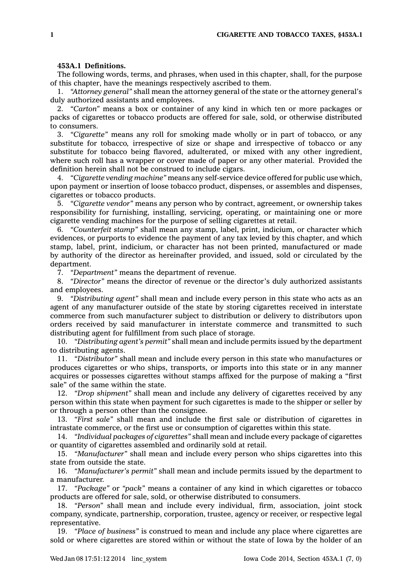## **453A.1 Definitions.**

The following words, terms, and phrases, when used in this chapter, shall, for the purpose of this chapter, have the meanings respectively ascribed to them.

1. *"Attorney general"* shall mean the attorney general of the state or the attorney general's duly authorized assistants and employees.

2. *"Carton"* means <sup>a</sup> box or container of any kind in which ten or more packages or packs of cigarettes or tobacco products are offered for sale, sold, or otherwise distributed to consumers.

3. *"Cigarette"* means any roll for smoking made wholly or in part of tobacco, or any substitute for tobacco, irrespective of size or shape and irrespective of tobacco or any substitute for tobacco being flavored, adulterated, or mixed with any other ingredient, where such roll has <sup>a</sup> wrapper or cover made of paper or any other material. Provided the definition herein shall not be construed to include cigars.

4. *"Cigarette vending machine"* means any self-service device offered for public use which, upon payment or insertion of loose tobacco product, dispenses, or assembles and dispenses, cigarettes or tobacco products.

5. *"Cigarette vendor"* means any person who by contract, agreement, or ownership takes responsibility for furnishing, installing, servicing, operating, or maintaining one or more cigarette vending machines for the purpose of selling cigarettes at retail.

6. *"Counterfeit stamp"* shall mean any stamp, label, print, indicium, or character which evidences, or purports to evidence the payment of any tax levied by this chapter, and which stamp, label, print, indicium, or character has not been printed, manufactured or made by authority of the director as hereinafter provided, and issued, sold or circulated by the department.

7. *"Department"* means the department of revenue.

8. *"Director"* means the director of revenue or the director's duly authorized assistants and employees.

9. *"Distributing agent"* shall mean and include every person in this state who acts as an agent of any manufacturer outside of the state by storing cigarettes received in interstate commerce from such manufacturer subject to distribution or delivery to distributors upon orders received by said manufacturer in interstate commerce and transmitted to such distributing agent for fulfillment from such place of storage.

10. *"Distributing agent's permit"* shall mean and include permits issued by the department to distributing agents.

11. *"Distributor"* shall mean and include every person in this state who manufactures or produces cigarettes or who ships, transports, or imports into this state or in any manner acquires or possesses cigarettes without stamps affixed for the purpose of making <sup>a</sup> "first sale" of the same within the state.

12. *"Drop shipment"* shall mean and include any delivery of cigarettes received by any person within this state when payment for such cigarettes is made to the shipper or seller by or through <sup>a</sup> person other than the consignee.

13. *"First sale"* shall mean and include the first sale or distribution of cigarettes in intrastate commerce, or the first use or consumption of cigarettes within this state.

14. *"Individual packages of cigarettes"* shall mean and include every package of cigarettes or quantity of cigarettes assembled and ordinarily sold at retail.

15. *"Manufacturer"* shall mean and include every person who ships cigarettes into this state from outside the state.

16. *"Manufacturer's permit"* shall mean and include permits issued by the department to <sup>a</sup> manufacturer.

17. *"Package"* or *"pack"* means <sup>a</sup> container of any kind in which cigarettes or tobacco products are offered for sale, sold, or otherwise distributed to consumers.

18. *"Person"* shall mean and include every individual, firm, association, joint stock company, syndicate, partnership, corporation, trustee, agency or receiver, or respective legal representative.

19. *"Place of business"* is construed to mean and include any place where cigarettes are sold or where cigarettes are stored within or without the state of Iowa by the holder of an